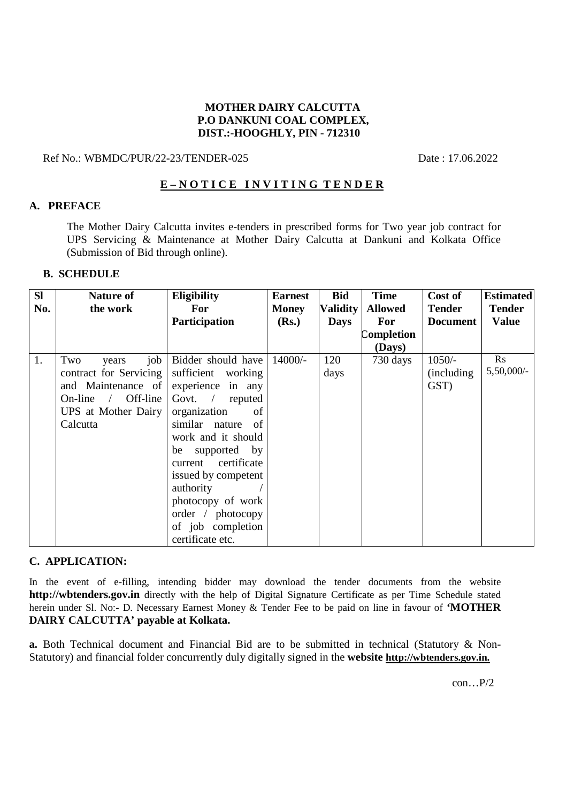### **MOTHER DAIRY CALCUTTA P.O DANKUNI COAL COMPLEX, DIST.:-HOOGHLY, PIN - 712310**

### Ref No.: WBMDC/PUR/22-23/TENDER-025 Date : 17.06.2022

# **E – N O T I C E I N V I T I N G T E N D E R**

### **A. PREFACE**

The Mother Dairy Calcutta invites e-tenders in prescribed forms for Two year job contract for UPS Servicing & Maintenance at Mother Dairy Calcutta at Dankuni and Kolkata Office (Submission of Bid through online).

### **B. SCHEDULE**

| SI  | <b>Nature of</b>                     | <b>Eligibility</b>          | <b>Earnest</b> | <b>Bid</b>      | <b>Time</b>    | Cost of         | <b>Estimated</b> |
|-----|--------------------------------------|-----------------------------|----------------|-----------------|----------------|-----------------|------------------|
| No. | the work                             | <b>For</b>                  | <b>Money</b>   | <b>Validity</b> | <b>Allowed</b> | <b>Tender</b>   | <b>Tender</b>    |
|     |                                      | Participation               | (Rs.)          | <b>Days</b>     | <b>For</b>     | <b>Document</b> | <b>Value</b>     |
|     |                                      |                             |                |                 | Completion     |                 |                  |
|     |                                      |                             |                |                 | (Days)         |                 |                  |
| 1.  | job<br>Two<br>years                  | Bidder should have          | $14000/-$      | 120             | 730 days       | $1050/-$        | Rs               |
|     | contract for Servicing               | sufficient working          |                | days            |                | (including)     | 5,50,000/-       |
|     | and Maintenance of                   | experience in any           |                |                 |                | GST)            |                  |
|     | On-line<br>Off-line<br>$\frac{1}{2}$ | Govt. $\sqrt{ }$<br>reputed |                |                 |                |                 |                  |
|     | UPS at Mother Dairy                  | organization<br>of          |                |                 |                |                 |                  |
|     | Calcutta                             | of<br>similar<br>nature     |                |                 |                |                 |                  |
|     |                                      | work and it should          |                |                 |                |                 |                  |
|     |                                      | supported by<br>be          |                |                 |                |                 |                  |
|     |                                      | certificate<br>current      |                |                 |                |                 |                  |
|     |                                      | issued by competent         |                |                 |                |                 |                  |
|     |                                      | authority                   |                |                 |                |                 |                  |
|     |                                      | photocopy of work           |                |                 |                |                 |                  |
|     |                                      | order / photocopy           |                |                 |                |                 |                  |
|     |                                      | of job completion           |                |                 |                |                 |                  |
|     |                                      | certificate etc.            |                |                 |                |                 |                  |

## **C. APPLICATION:**

In the event of e-filling, intending bidder may download the tender documents from the website **http://wbtenders.gov.in** directly with the help of Digital Signature Certificate as per Time Schedule stated herein under Sl. No:- D. Necessary Earnest Money & Tender Fee to be paid on line in favour of **'MOTHER DAIRY CALCUTTA' payable at Kolkata.**

**a.** Both Technical document and Financial Bid are to be submitted in technical (Statutory & Non-Statutory) and financial folder concurrently duly digitally signed in the **website http://wbtenders.gov.in.**

 $con...P/2$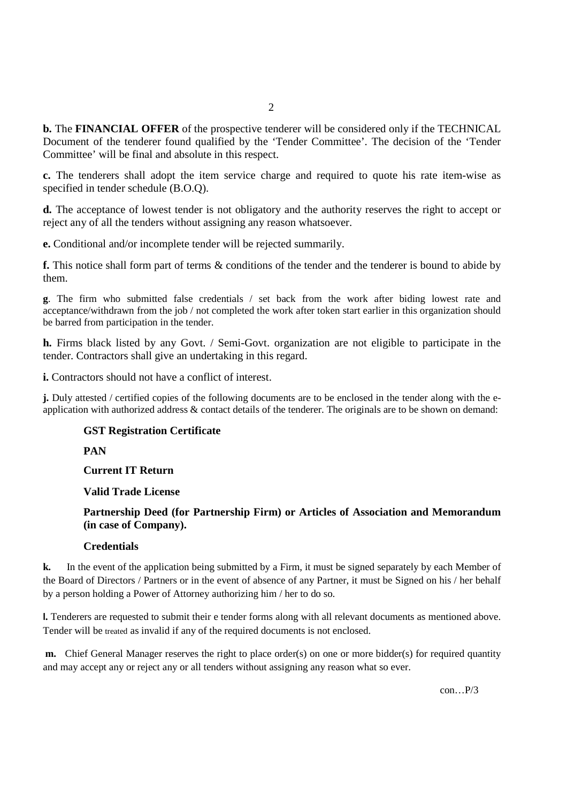**b.** The **FINANCIAL OFFER** of the prospective tenderer will be considered only if the TECHNICAL Document of the tenderer found qualified by the 'Tender Committee'. The decision of the 'Tender Committee' will be final and absolute in this respect.

**c.** The tenderers shall adopt the item service charge and required to quote his rate item-wise as specified in tender schedule (B.O.Q).

**d.** The acceptance of lowest tender is not obligatory and the authority reserves the right to accept or reject any of all the tenders without assigning any reason whatsoever.

**e.** Conditional and/or incomplete tender will be rejected summarily.

**f.** This notice shall form part of terms  $\&$  conditions of the tender and the tenderer is bound to abide by them.

**g**. The firm who submitted false credentials / set back from the work after biding lowest rate and acceptance/withdrawn from the job / not completed the work after token start earlier in this organization should be barred from participation in the tender.

**h.** Firms black listed by any Govt. / Semi-Govt. organization are not eligible to participate in the tender. Contractors shall give an undertaking in this regard.

**i.** Contractors should not have a conflict of interest.

**j.** Duly attested / certified copies of the following documents are to be enclosed in the tender along with the eapplication with authorized address & contact details of the tenderer. The originals are to be shown on demand:

### **GST Registration Certificate**

**PAN** 

### **Current IT Return**

**Valid Trade License** 

### **Partnership Deed (for Partnership Firm) or Articles of Association and Memorandum (in case of Company).**  Ì

#### **Credentials**

**k.** In the event of the application being submitted by a Firm, it must be signed separately by each Member of the Board of Directors / Partners or in the event of absence of any Partner, it must be Signed on his / her behalf by a person holding a Power of Attorney authorizing him / her to do so.

**l.** Tenderers are requested to submit their e tender forms along with all relevant documents as mentioned above. Tender will be treated as invalid if any of the required documents is not enclosed.

**m.** Chief General Manager reserves the right to place order(s) on one or more bidder(s) for required quantity and may accept any or reject any or all tenders without assigning any reason what so ever.

 $con...P/3$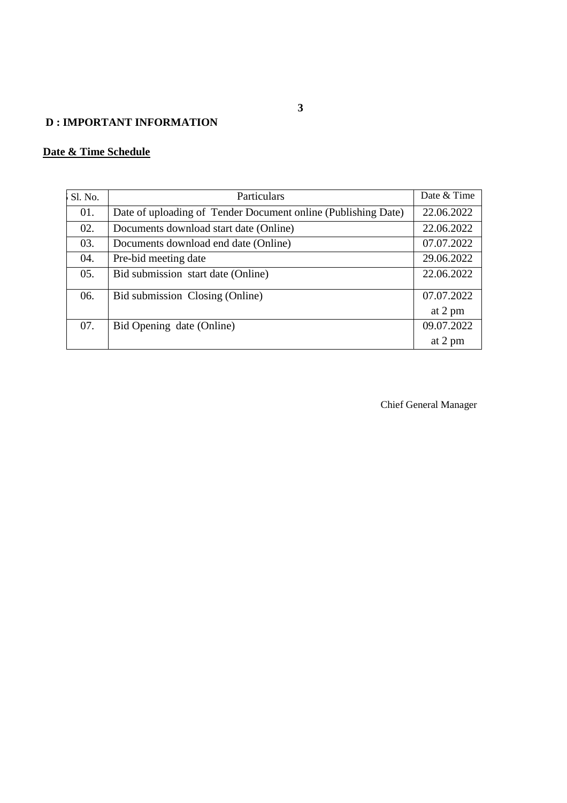# **D : IMPORTANT INFORMATION**

# **Date & Time Schedule**

| Sl. No. | Particulars                                                   | Date & Time |
|---------|---------------------------------------------------------------|-------------|
| 01.     | Date of uploading of Tender Document online (Publishing Date) | 22.06.2022  |
| 02.     | Documents download start date (Online)                        | 22.06.2022  |
| 03.     | Documents download end date (Online)                          | 07.07.2022  |
| 04.     | Pre-bid meeting date                                          | 29.06.2022  |
| 05.     | Bid submission start date (Online)                            | 22.06.2022  |
| 06.     | Bid submission Closing (Online)                               | 07.07.2022  |
|         |                                                               | at 2 pm     |
| 07.     | Bid Opening date (Online)                                     | 09.07.2022  |
|         |                                                               | at 2 pm     |

Chief General Manager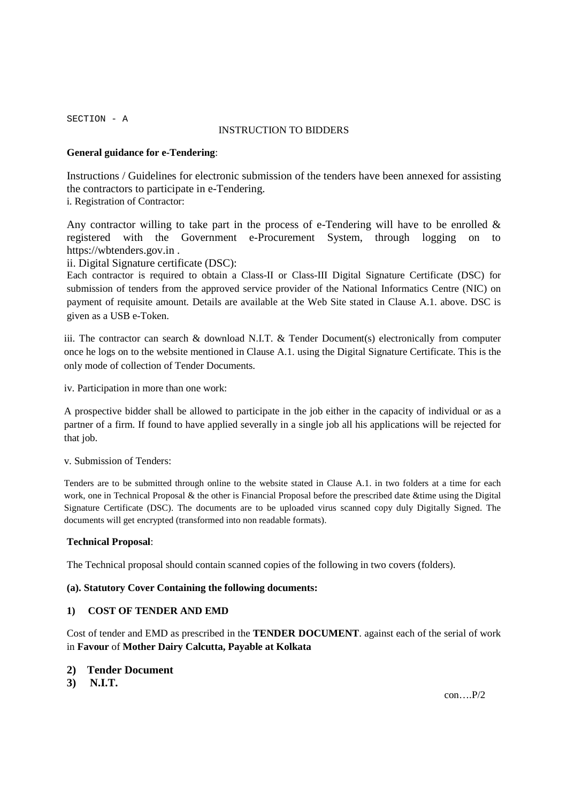#### SECTION - A

### INSTRUCTION TO BIDDERS

### **General guidance for e-Tendering**:

Instructions / Guidelines for electronic submission of the tenders have been annexed for assisting the contractors to participate in e-Tendering.

i. Registration of Contractor:

Any contractor willing to take part in the process of e-Tendering will have to be enrolled  $\&$ registered with the Government e-Procurement System, through logging on to https://wbtenders.gov.in .

ii. Digital Signature certificate (DSC):

Each contractor is required to obtain a Class-II or Class-III Digital Signature Certificate (DSC) for submission of tenders from the approved service provider of the National Informatics Centre (NIC) on payment of requisite amount. Details are available at the Web Site stated in Clause A.1. above. DSC is given as a USB e-Token.

iii. The contractor can search & download N.I.T. & Tender Document(s) electronically from computer once he logs on to the website mentioned in Clause A.1. using the Digital Signature Certificate. This is the only mode of collection of Tender Documents.

iv. Participation in more than one work:

A prospective bidder shall be allowed to participate in the job either in the capacity of individual or as a partner of a firm. If found to have applied severally in a single job all his applications will be rejected for that job.

v. Submission of Tenders:

Tenders are to be submitted through online to the website stated in Clause A.1. in two folders at a time for each work, one in Technical Proposal & the other is Financial Proposal before the prescribed date &time using the Digital Signature Certificate (DSC). The documents are to be uploaded virus scanned copy duly Digitally Signed. The documents will get encrypted (transformed into non readable formats).

### **Technical Proposal**:

The Technical proposal should contain scanned copies of the following in two covers (folders).

### **(a). Statutory Cover Containing the following documents:**

### **1) COST OF TENDER AND EMD**

Cost of tender and EMD as prescribed in the **TENDER DOCUMENT**. against each of the serial of work in **Favour** of **Mother Dairy Calcutta, Payable at Kolkata**

**2) Tender Document** 

**3) N.I.T.** 

 $\text{con} \dots \text{P/2}$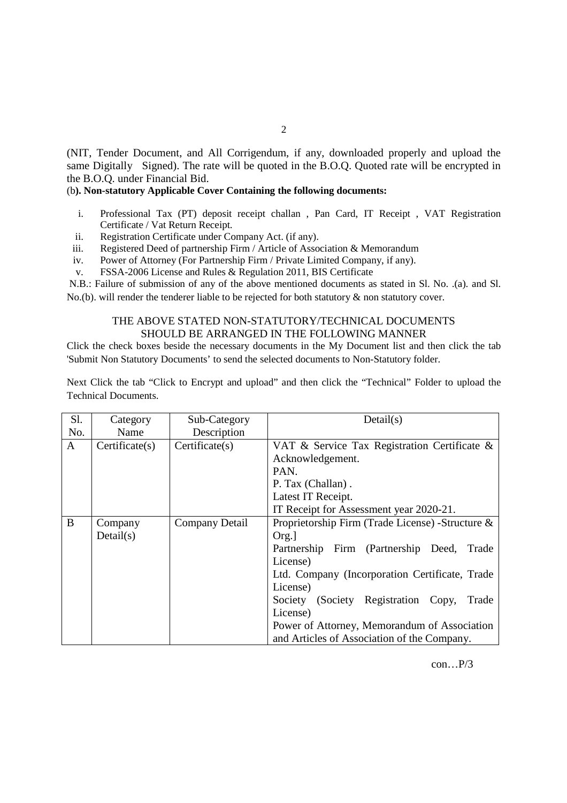(NIT, Tender Document, and All Corrigendum, if any, downloaded properly and upload the same Digitally Signed). The rate will be quoted in the B.O.Q. Quoted rate will be encrypted in the B.O.Q. under Financial Bid.

### (b**). Non-statutory Applicable Cover Containing the following documents:**

- i. Professional Tax (PT) deposit receipt challan , Pan Card, IT Receipt , VAT Registration Certificate / Vat Return Receipt.
- ii. Registration Certificate under Company Act. (if any).
- iii. Registered Deed of partnership Firm / Article of Association & Memorandum
- iv. Power of Attorney (For Partnership Firm / Private Limited Company, if any).
- v. FSSA-2006 License and Rules & Regulation 2011, BIS Certificate

 N.B.: Failure of submission of any of the above mentioned documents as stated in Sl. No. .(a). and Sl. No.(b). will render the tenderer liable to be rejected for both statutory & non statutory cover.

### THE ABOVE STATED NON-STATUTORY/TECHNICAL DOCUMENTS SHOULD BE ARRANGED IN THE FOLLOWING MANNER

Click the check boxes beside the necessary documents in the My Document list and then click the tab 'Submit Non Statutory Documents' to send the selected documents to Non-Statutory folder.

Next Click the tab "Click to Encrypt and upload" and then click the "Technical" Folder to upload the Technical Documents.

| S1.          | Category       | Sub-Category    | Details(s)                                        |  |  |  |
|--------------|----------------|-----------------|---------------------------------------------------|--|--|--|
| No.          | Name           | Description     |                                                   |  |  |  |
| $\mathbf{A}$ | Certificate(s) | Certificeate(s) | VAT & Service Tax Registration Certificate &      |  |  |  |
|              |                |                 | Acknowledgement.                                  |  |  |  |
|              |                |                 | PAN.                                              |  |  |  |
|              |                |                 | P. Tax (Challan).                                 |  |  |  |
|              |                |                 | Latest IT Receipt.                                |  |  |  |
|              |                |                 | IT Receipt for Assessment year 2020-21.           |  |  |  |
| B            | Company        | Company Detail  | Proprietorship Firm (Trade License) - Structure & |  |  |  |
|              | Details(s)     |                 | Org.                                              |  |  |  |
|              |                |                 | Partnership Firm (Partnership Deed,<br>Trade      |  |  |  |
|              |                |                 | License)                                          |  |  |  |
|              |                |                 | Ltd. Company (Incorporation Certificate, Trade    |  |  |  |
|              |                |                 | License)                                          |  |  |  |
|              |                |                 | Society (Society Registration Copy,<br>Trade      |  |  |  |
|              |                |                 | License)                                          |  |  |  |
|              |                |                 | Power of Attorney, Memorandum of Association      |  |  |  |
|              |                |                 | and Articles of Association of the Company.       |  |  |  |

 $con...P/3$